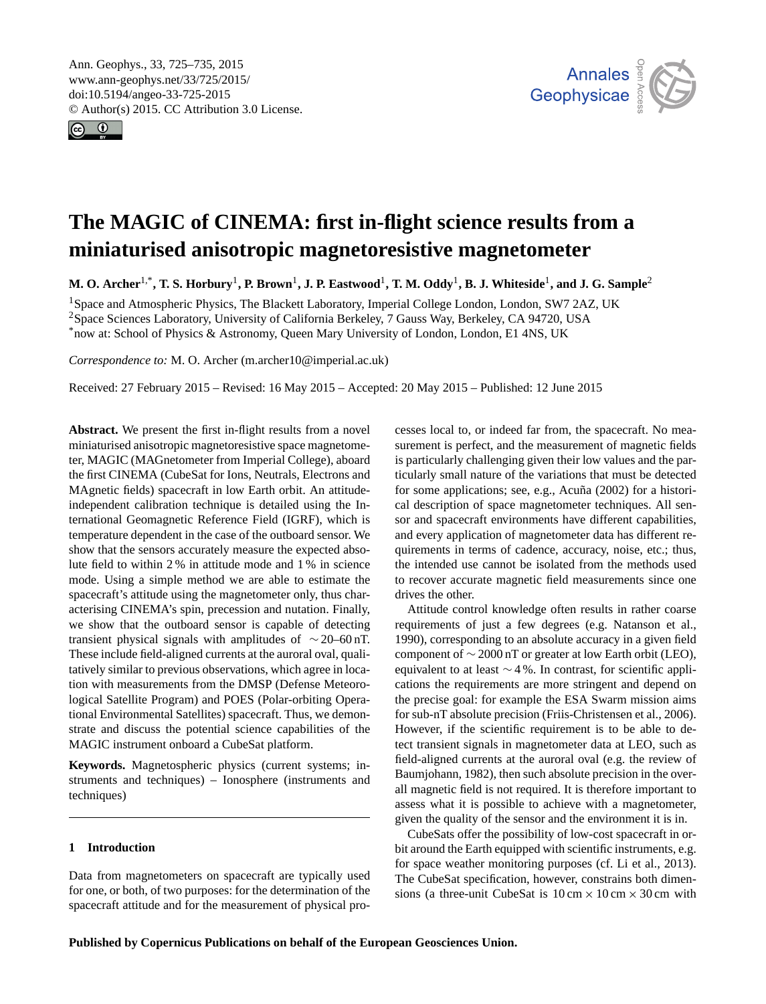<span id="page-0-1"></span>Ann. Geophys., 33, 725–735, 2015 www.ann-geophys.net/33/725/2015/ doi:10.5194/angeo-33-725-2015 © Author(s) 2015. CC Attribution 3.0 License.





# **The MAGIC of CINEMA: first in-flight science results from a miniaturised anisotropic magnetoresistive magnetometer**

**M. O. Archer**[1,\\*](#page-0-0) **, T. S. Horbury**[1](#page-0-0) **, P. Brown**[1](#page-0-0) **, J. P. Eastwood**[1](#page-0-0) **, T. M. Oddy**[1](#page-0-0) **, B. J. Whiteside**[1](#page-0-0) **, and J. G. Sample**[2](#page-0-0)

<sup>1</sup>Space and Atmospheric Physics, The Blackett Laboratory, Imperial College London, London, SW7 2AZ, UK <sup>2</sup>Space Sciences Laboratory, University of California Berkeley, 7 Gauss Way, Berkeley, CA 94720, USA \*now at: School of Physics & Astronomy, Queen Mary University of London, London, E1 4NS, UK

*Correspondence to:* M. O. Archer (m.archer10@imperial.ac.uk)

Received: 27 February 2015 – Revised: 16 May 2015 – Accepted: 20 May 2015 – Published: 12 June 2015

<span id="page-0-0"></span>**Abstract.** We present the first in-flight results from a novel miniaturised anisotropic magnetoresistive space magnetometer, MAGIC (MAGnetometer from Imperial College), aboard the first CINEMA (CubeSat for Ions, Neutrals, Electrons and MAgnetic fields) spacecraft in low Earth orbit. An attitudeindependent calibration technique is detailed using the International Geomagnetic Reference Field (IGRF), which is temperature dependent in the case of the outboard sensor. We show that the sensors accurately measure the expected absolute field to within 2 % in attitude mode and 1 % in science mode. Using a simple method we are able to estimate the spacecraft's attitude using the magnetometer only, thus characterising CINEMA's spin, precession and nutation. Finally, we show that the outboard sensor is capable of detecting transient physical signals with amplitudes of ∼ 20–60 nT. These include field-aligned currents at the auroral oval, qualitatively similar to previous observations, which agree in location with measurements from the DMSP (Defense Meteorological Satellite Program) and POES (Polar-orbiting Operational Environmental Satellites) spacecraft. Thus, we demonstrate and discuss the potential science capabilities of the MAGIC instrument onboard a CubeSat platform.

**Keywords.** Magnetospheric physics (current systems; instruments and techniques) – Ionosphere (instruments and techniques)

# **1 Introduction**

Data from magnetometers on spacecraft are typically used for one, or both, of two purposes: for the determination of the spacecraft attitude and for the measurement of physical processes local to, or indeed far from, the spacecraft. No measurement is perfect, and the measurement of magnetic fields is particularly challenging given their low values and the particularly small nature of the variations that must be detected for some applications; see, e.g., [Acuña](#page-9-0) [\(2002\)](#page-9-0) for a historical description of space magnetometer techniques. All sensor and spacecraft environments have different capabilities, and every application of magnetometer data has different requirements in terms of cadence, accuracy, noise, etc.; thus, the intended use cannot be isolated from the methods used to recover accurate magnetic field measurements since one drives the other.

Attitude control knowledge often results in rather coarse requirements of just a few degrees (e.g. [Natanson et al.,](#page-10-0) [1990\)](#page-10-0), corresponding to an absolute accuracy in a given field component of  $\sim$  2000 nT or greater at low Earth orbit (LEO), equivalent to at least ∼ 4 %. In contrast, for scientific applications the requirements are more stringent and depend on the precise goal: for example the ESA Swarm mission aims for sub-nT absolute precision [\(Friis-Christensen et al.,](#page-10-1) [2006\)](#page-10-1). However, if the scientific requirement is to be able to detect transient signals in magnetometer data at LEO, such as field-aligned currents at the auroral oval (e.g. the review of [Baumjohann,](#page-9-1) [1982\)](#page-9-1), then such absolute precision in the overall magnetic field is not required. It is therefore important to assess what it is possible to achieve with a magnetometer, given the quality of the sensor and the environment it is in.

CubeSats offer the possibility of low-cost spacecraft in orbit around the Earth equipped with scientific instruments, e.g. for space weather monitoring purposes (cf. [Li et al.,](#page-10-2) [2013\)](#page-10-2). The CubeSat specification, however, constrains both dimensions (a three-unit CubeSat is  $10 \text{ cm} \times 10 \text{ cm} \times 30 \text{ cm}$  with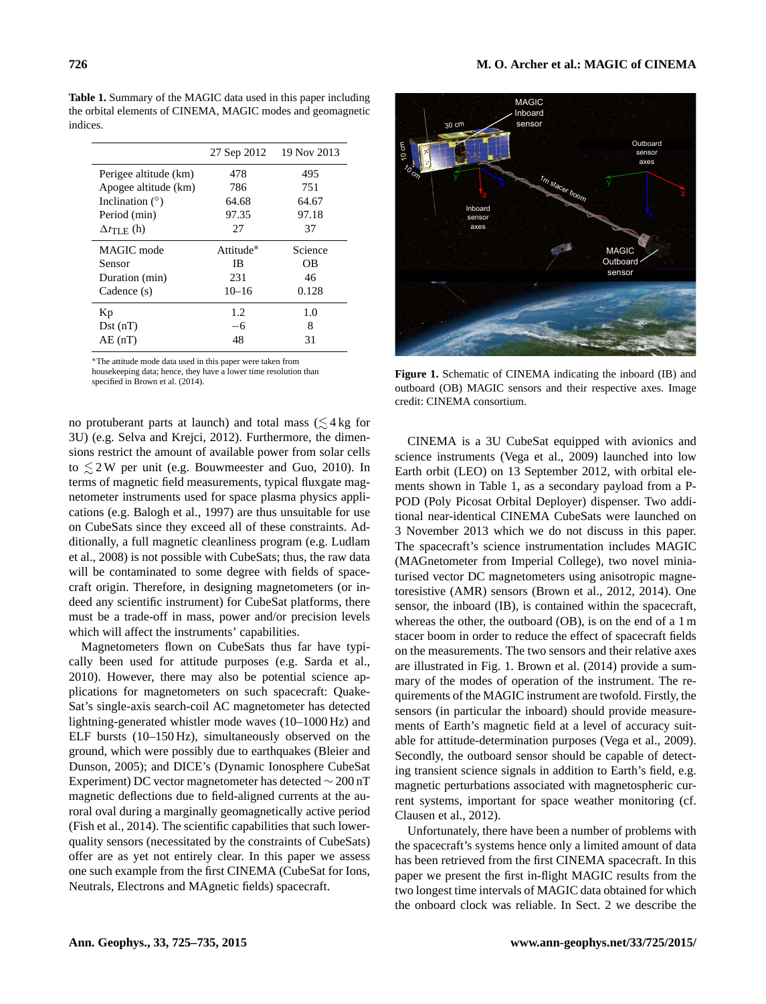<span id="page-1-0"></span>**Table 1.** Summary of the MAGIC data used in this paper including

| 27 Sep 2012 | 19 Nov 2013 |
|-------------|-------------|
| 478         | 495         |
| 786         | 751         |
| 64.68       | 64.67       |
| 97.35       | 97.18       |
| 27          | 37          |
| Attitude*   | Science     |
| IB.         | OΒ          |
| 231         | 46          |
| $10 - 16$   | 0.128       |
| 1.2.        | 1.0         |
| $-6$        | 8           |
| 48          | 31          |
|             |             |

<sup>∗</sup>The attitude mode data used in this paper were taken from

housekeeping data; hence, they have a lower time resolution than specified in [Brown et al.](#page-10-3) [\(2014\)](#page-10-3).

no protuberant parts at launch) and total mass  $(\leq 4 \text{ kg for})$ 3U) (e.g. [Selva and Krejci,](#page-10-4) [2012\)](#page-10-4). Furthermore, the dimensions restrict the amount of available power from solar cells to  $\leq$  2W per unit (e.g. [Bouwmeester and Guo,](#page-10-5) [2010\)](#page-10-5). In terms of magnetic field measurements, typical fluxgate magnetometer instruments used for space plasma physics applications (e.g. [Balogh et al.,](#page-9-2) [1997\)](#page-9-2) are thus unsuitable for use on CubeSats since they exceed all of these constraints. Additionally, a full magnetic cleanliness program (e.g. [Ludlam](#page-10-6) [et al.,](#page-10-6) [2008\)](#page-10-6) is not possible with CubeSats; thus, the raw data will be contaminated to some degree with fields of spacecraft origin. Therefore, in designing magnetometers (or indeed any scientific instrument) for CubeSat platforms, there must be a trade-off in mass, power and/or precision levels which will affect the instruments' capabilities.

Magnetometers flown on CubeSats thus far have typically been used for attitude purposes (e.g. [Sarda et al.,](#page-10-7) [2010\)](#page-10-7). However, there may also be potential science applications for magnetometers on such spacecraft: Quake-Sat's single-axis search-coil AC magnetometer has detected lightning-generated whistler mode waves (10–1000 Hz) and ELF bursts (10–150 Hz), simultaneously observed on the ground, which were possibly due to earthquakes [\(Bleier and](#page-9-3) [Dunson,](#page-9-3) [2005\)](#page-9-3); and DICE's (Dynamic Ionosphere CubeSat Experiment) DC vector magnetometer has detected ∼ 200 nT magnetic deflections due to field-aligned currents at the auroral oval during a marginally geomagnetically active period [\(Fish et al.,](#page-10-8) [2014\)](#page-10-8). The scientific capabilities that such lowerquality sensors (necessitated by the constraints of CubeSats) offer are as yet not entirely clear. In this paper we assess one such example from the first CINEMA (CubeSat for Ions, Neutrals, Electrons and MAgnetic fields) spacecraft.

<span id="page-1-1"></span>

**Figure 1.** Schematic of CINEMA indicating the inboard (IB) and outboard (OB) MAGIC sensors and their respective axes. Image credit: CINEMA consortium.

CINEMA is a 3U CubeSat equipped with avionics and science instruments [\(Vega et al.,](#page-10-9) [2009\)](#page-10-9) launched into low Earth orbit (LEO) on 13 September 2012, with orbital elements shown in Table [1,](#page-1-0) as a secondary payload from a P-POD (Poly Picosat Orbital Deployer) dispenser. Two additional near-identical CINEMA CubeSats were launched on 3 November 2013 which we do not discuss in this paper. The spacecraft's science instrumentation includes MAGIC (MAGnetometer from Imperial College), two novel miniaturised vector DC magnetometers using anisotropic magnetoresistive (AMR) sensors [\(Brown et al.,](#page-10-10) [2012,](#page-10-10) [2014\)](#page-10-3). One sensor, the inboard (IB), is contained within the spacecraft, whereas the other, the outboard (OB), is on the end of a 1 m stacer boom in order to reduce the effect of spacecraft fields on the measurements. The two sensors and their relative axes are illustrated in Fig. [1.](#page-1-1) [Brown et al.](#page-10-3) [\(2014\)](#page-10-3) provide a summary of the modes of operation of the instrument. The requirements of the MAGIC instrument are twofold. Firstly, the sensors (in particular the inboard) should provide measurements of Earth's magnetic field at a level of accuracy suitable for attitude-determination purposes [\(Vega et al.,](#page-10-9) [2009\)](#page-10-9). Secondly, the outboard sensor should be capable of detecting transient science signals in addition to Earth's field, e.g. magnetic perturbations associated with magnetospheric current systems, important for space weather monitoring (cf. [Clausen et al.,](#page-10-11) [2012\)](#page-10-11).

Unfortunately, there have been a number of problems with the spacecraft's systems hence only a limited amount of data has been retrieved from the first CINEMA spacecraft. In this paper we present the first in-flight MAGIC results from the two longest time intervals of MAGIC data obtained for which the onboard clock was reliable. In Sect. [2](#page-2-0) we describe the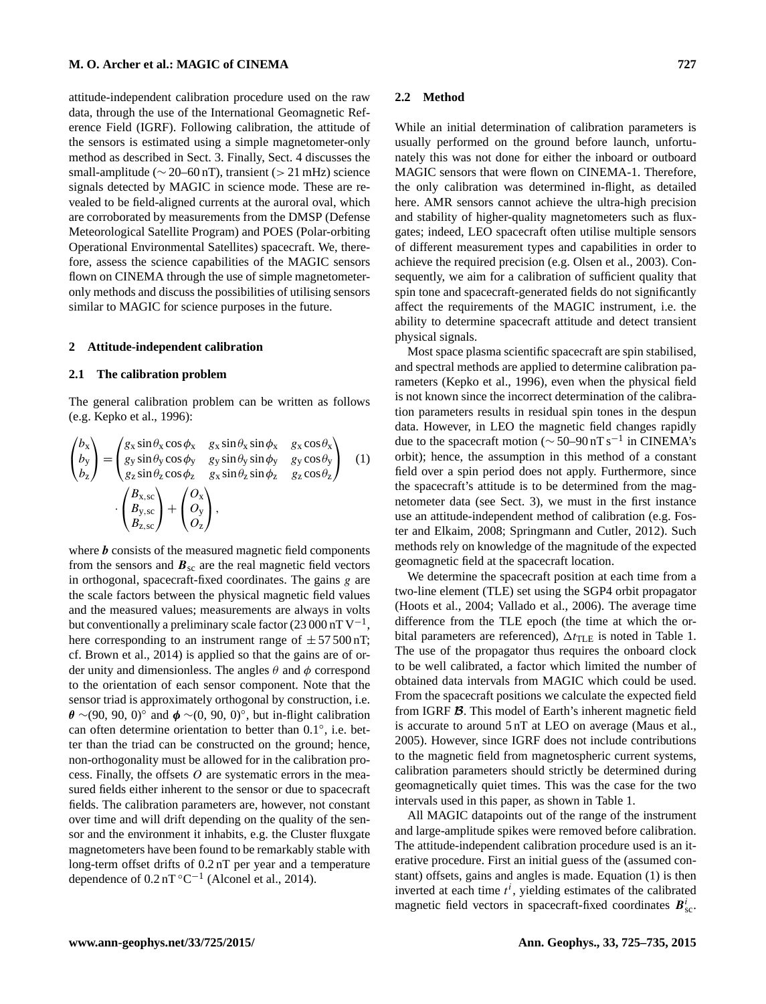attitude-independent calibration procedure used on the raw data, through the use of the International Geomagnetic Reference Field (IGRF). Following calibration, the attitude of the sensors is estimated using a simple magnetometer-only method as described in Sect. [3.](#page-5-0) Finally, Sect. [4](#page-7-0) discusses the small-amplitude ( $\sim$  20–60 nT), transient (> 21 mHz) science signals detected by MAGIC in science mode. These are revealed to be field-aligned currents at the auroral oval, which are corroborated by measurements from the DMSP (Defense Meteorological Satellite Program) and POES (Polar-orbiting Operational Environmental Satellites) spacecraft. We, therefore, assess the science capabilities of the MAGIC sensors flown on CINEMA through the use of simple magnetometeronly methods and discuss the possibilities of utilising sensors similar to MAGIC for science purposes in the future.

#### <span id="page-2-0"></span>**2 Attitude-independent calibration**

#### **2.1 The calibration problem**

The general calibration problem can be written as follows (e.g. [Kepko et al.,](#page-10-12) [1996\)](#page-10-12):

$$
\begin{pmatrix} b_x \\ b_y \\ b_z \end{pmatrix} = \begin{pmatrix} g_x \sin \theta_x \cos \phi_x & g_x \sin \theta_x \sin \phi_x & g_x \cos \theta_x \\ g_y \sin \theta_y \cos \phi_y & g_y \sin \theta_y \sin \phi_y & g_y \cos \theta_y \\ g_z \sin \theta_z \cos \phi_z & g_x \sin \theta_z \sin \phi_z & g_z \cos \theta_z \end{pmatrix} \quad (1)
$$

$$
\cdot \begin{pmatrix} B_{x,\text{sc}} \\ B_{y,\text{sc}} \\ B_{z,\text{sc}} \end{pmatrix} + \begin{pmatrix} O_x \\ O_y \\ O_z \end{pmatrix},
$$

where  $\boldsymbol{b}$  consists of the measured magnetic field components from the sensors and  $B_{\rm sc}$  are the real magnetic field vectors in orthogonal, spacecraft-fixed coordinates. The gains g are the scale factors between the physical magnetic field values and the measured values; measurements are always in volts but conventionally a preliminary scale factor (23 000 nT  $V^{-1}$ , here corresponding to an instrument range of  $\pm 57500$  nT; cf. [Brown et al.,](#page-10-3) [2014\)](#page-10-3) is applied so that the gains are of order unity and dimensionless. The angles  $\theta$  and  $\phi$  correspond to the orientation of each sensor component. Note that the sensor triad is approximately orthogonal by construction, i.e.  $\theta \sim (90, 90, 0)$ ° and  $\phi \sim (0, 90, 0)$ °, but in-flight calibration can often determine orientation to better than 0.1°, i.e. better than the triad can be constructed on the ground; hence, non-orthogonality must be allowed for in the calibration process. Finally, the offsets  $O$  are systematic errors in the measured fields either inherent to the sensor or due to spacecraft fields. The calibration parameters are, however, not constant over time and will drift depending on the quality of the sensor and the environment it inhabits, e.g. the Cluster fluxgate magnetometers have been found to be remarkably stable with long-term offset drifts of 0.2 nT per year and a temperature dependence of  $0.2 \text{nT}^{\circ}\text{C}^{-1}$  [\(Alconel et al.,](#page-9-4) [2014\)](#page-9-4).

#### **2.2 Method**

While an initial determination of calibration parameters is usually performed on the ground before launch, unfortunately this was not done for either the inboard or outboard MAGIC sensors that were flown on CINEMA-1. Therefore, the only calibration was determined in-flight, as detailed here. AMR sensors cannot achieve the ultra-high precision and stability of higher-quality magnetometers such as fluxgates; indeed, LEO spacecraft often utilise multiple sensors of different measurement types and capabilities in order to achieve the required precision (e.g. [Olsen et al.,](#page-10-13) [2003\)](#page-10-13). Consequently, we aim for a calibration of sufficient quality that spin tone and spacecraft-generated fields do not significantly affect the requirements of the MAGIC instrument, i.e. the ability to determine spacecraft attitude and detect transient physical signals.

<span id="page-2-1"></span>Most space plasma scientific spacecraft are spin stabilised, and spectral methods are applied to determine calibration parameters [\(Kepko et al.,](#page-10-12) [1996\)](#page-10-12), even when the physical field is not known since the incorrect determination of the calibration parameters results in residual spin tones in the despun data. However, in LEO the magnetic field changes rapidly due to the spacecraft motion ( $\sim$  50–90 nT s<sup>-1</sup> in CINEMA's orbit); hence, the assumption in this method of a constant field over a spin period does not apply. Furthermore, since the spacecraft's attitude is to be determined from the magnetometer data (see Sect. [3\)](#page-5-0), we must in the first instance use an attitude-independent method of calibration (e.g. [Fos](#page-10-14)[ter and Elkaim,](#page-10-14) [2008;](#page-10-14) [Springmann and Cutler,](#page-10-15) [2012\)](#page-10-15). Such methods rely on knowledge of the magnitude of the expected geomagnetic field at the spacecraft location.

We determine the spacecraft position at each time from a two-line element (TLE) set using the SGP4 orbit propagator [\(Hoots et al.,](#page-10-16) [2004;](#page-10-16) [Vallado et al.,](#page-10-17) [2006\)](#page-10-17). The average time difference from the TLE epoch (the time at which the orbital parameters are referenced),  $\Delta t_{\text{TLE}}$  is noted in Table [1.](#page-1-0) The use of the propagator thus requires the onboard clock to be well calibrated, a factor which limited the number of obtained data intervals from MAGIC which could be used. From the spacecraft positions we calculate the expected field from IGRF B. This model of Earth's inherent magnetic field is accurate to around 5 nT at LEO on average [\(Maus et al.,](#page-10-18) [2005\)](#page-10-18). However, since IGRF does not include contributions to the magnetic field from magnetospheric current systems, calibration parameters should strictly be determined during geomagnetically quiet times. This was the case for the two intervals used in this paper, as shown in Table [1.](#page-1-0)

All MAGIC datapoints out of the range of the instrument and large-amplitude spikes were removed before calibration. The attitude-independent calibration procedure used is an iterative procedure. First an initial guess of the (assumed constant) offsets, gains and angles is made. Equation [\(1\)](#page-2-1) is then inverted at each time  $t^i$ , yielding estimates of the calibrated magnetic field vectors in spacecraft-fixed coordinates  $B_{\text{sc}}^i$ .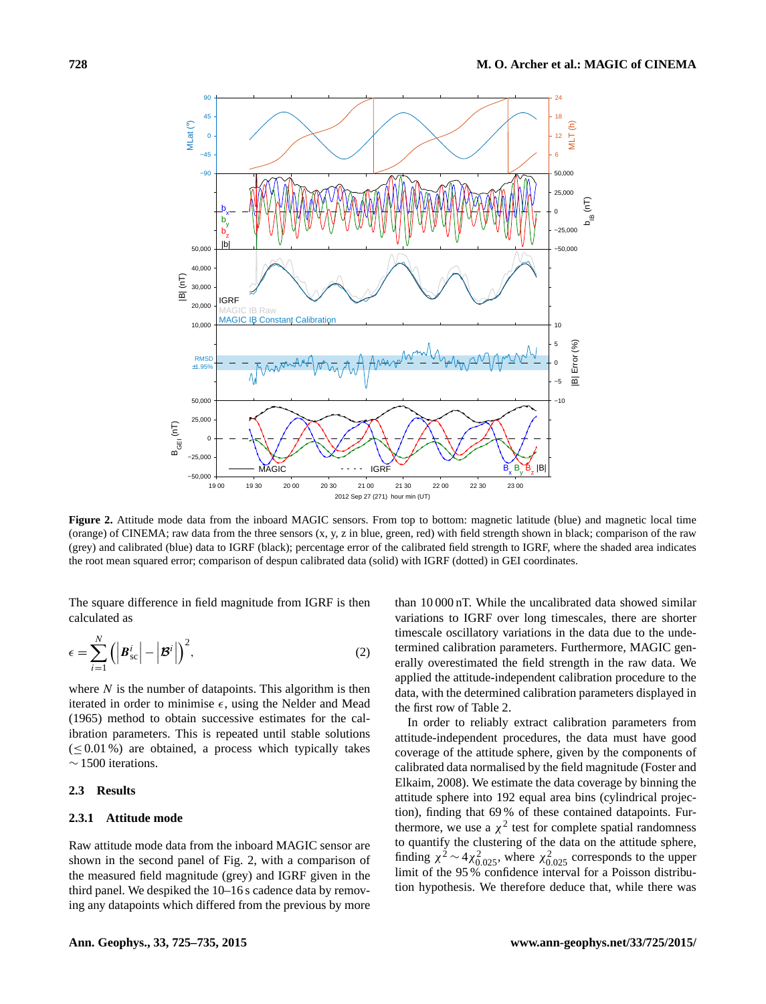<span id="page-3-0"></span>

**Figure 2.** Attitude mode data from the inboard MAGIC sensors. From top to bottom: magnetic latitude (blue) and magnetic local time (orange) of CINEMA; raw data from the three sensors (x, y, z in blue, green, red) with field strength shown in black; comparison of the raw (grey) and calibrated (blue) data to IGRF (black); percentage error of the calibrated field strength to IGRF, where the shaded area indicates the root mean squared error; comparison of despun calibrated data (solid) with IGRF (dotted) in GEI coordinates.

The square difference in field magnitude from IGRF is then calculated as

$$
\epsilon = \sum_{i=1}^{N} \left( \left| \boldsymbol{B}_{\text{sc}}^{i} \right| - \left| \boldsymbol{\mathcal{B}}^{i} \right| \right)^{2},\tag{2}
$$

where  $N$  is the number of datapoints. This algorithm is then iterated in order to minimise  $\epsilon$ , using the [Nelder and Mead](#page-10-19) [\(1965\)](#page-10-19) method to obtain successive estimates for the calibration parameters. This is repeated until stable solutions  $(\leq 0.01\%)$  are obtained, a process which typically takes  $~\sim$  1500 iterations.

# **2.3 Results**

## **2.3.1 Attitude mode**

Raw attitude mode data from the inboard MAGIC sensor are shown in the second panel of Fig. [2,](#page-3-0) with a comparison of the measured field magnitude (grey) and IGRF given in the third panel. We despiked the 10–16 s cadence data by removing any datapoints which differed from the previous by more

than 10 000 nT. While the uncalibrated data showed similar variations to IGRF over long timescales, there are shorter timescale oscillatory variations in the data due to the undetermined calibration parameters. Furthermore, MAGIC generally overestimated the field strength in the raw data. We applied the attitude-independent calibration procedure to the data, with the determined calibration parameters displayed in the first row of Table [2.](#page-5-1)

In order to reliably extract calibration parameters from attitude-independent procedures, the data must have good coverage of the attitude sphere, given by the components of calibrated data normalised by the field magnitude [\(Foster and](#page-10-14) [Elkaim,](#page-10-14) [2008\)](#page-10-14). We estimate the data coverage by binning the attitude sphere into 192 equal area bins (cylindrical projection), finding that 69 % of these contained datapoints. Furthermore, we use a  $\chi^2$  test for complete spatial randomness to quantify the clustering of the data on the attitude sphere, finding  $\chi^2 \sim 4\chi_{0.025}^2$ , where  $\chi_{0.025}^2$  corresponds to the upper limit of the 95 % confidence interval for a Poisson distribution hypothesis. We therefore deduce that, while there was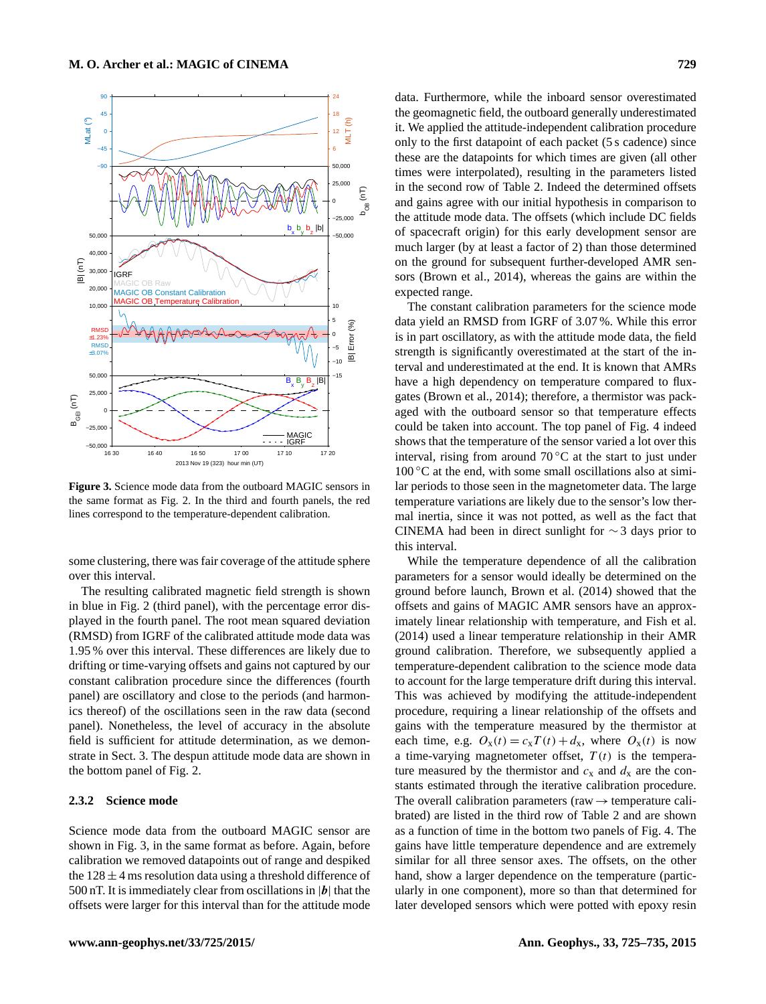<span id="page-4-0"></span>

**Figure 3.** Science mode data from the outboard MAGIC sensors in the same format as Fig. [2.](#page-3-0) In the third and fourth panels, the red lines correspond to the temperature-dependent calibration.

some clustering, there was fair coverage of the attitude sphere over this interval.

The resulting calibrated magnetic field strength is shown in blue in Fig. [2](#page-3-0) (third panel), with the percentage error displayed in the fourth panel. The root mean squared deviation (RMSD) from IGRF of the calibrated attitude mode data was 1.95 % over this interval. These differences are likely due to drifting or time-varying offsets and gains not captured by our constant calibration procedure since the differences (fourth panel) are oscillatory and close to the periods (and harmonics thereof) of the oscillations seen in the raw data (second panel). Nonetheless, the level of accuracy in the absolute field is sufficient for attitude determination, as we demonstrate in Sect. [3.](#page-5-0) The despun attitude mode data are shown in the bottom panel of Fig. [2.](#page-3-0)

# **2.3.2 Science mode**

Science mode data from the outboard MAGIC sensor are shown in Fig. [3,](#page-4-0) in the same format as before. Again, before calibration we removed datapoints out of range and despiked the  $128 \pm 4$  ms resolution data using a threshold difference of 500 nT. It is immediately clear from oscillations in  $|b|$  that the offsets were larger for this interval than for the attitude mode

data. Furthermore, while the inboard sensor overestimated the geomagnetic field, the outboard generally underestimated it. We applied the attitude-independent calibration procedure only to the first datapoint of each packet (5 s cadence) since these are the datapoints for which times are given (all other times were interpolated), resulting in the parameters listed in the second row of Table [2.](#page-5-1) Indeed the determined offsets and gains agree with our initial hypothesis in comparison to the attitude mode data. The offsets (which include DC fields of spacecraft origin) for this early development sensor are much larger (by at least a factor of 2) than those determined on the ground for subsequent further-developed AMR sensors [\(Brown et al.,](#page-10-3) [2014\)](#page-10-3), whereas the gains are within the expected range.

The constant calibration parameters for the science mode data yield an RMSD from IGRF of 3.07 %. While this error is in part oscillatory, as with the attitude mode data, the field strength is significantly overestimated at the start of the interval and underestimated at the end. It is known that AMRs have a high dependency on temperature compared to fluxgates [\(Brown et al.,](#page-10-3) [2014\)](#page-10-3); therefore, a thermistor was packaged with the outboard sensor so that temperature effects could be taken into account. The top panel of Fig. [4](#page-5-2) indeed shows that the temperature of the sensor varied a lot over this interval, rising from around  $70^{\circ}$ C at the start to just under  $100\degree$ C at the end, with some small oscillations also at similar periods to those seen in the magnetometer data. The large temperature variations are likely due to the sensor's low thermal inertia, since it was not potted, as well as the fact that CINEMA had been in direct sunlight for ∼ 3 days prior to this interval.

While the temperature dependence of all the calibration parameters for a sensor would ideally be determined on the ground before launch, [Brown et al.](#page-10-3) [\(2014\)](#page-10-3) showed that the offsets and gains of MAGIC AMR sensors have an approximately linear relationship with temperature, and [Fish et al.](#page-10-8) [\(2014\)](#page-10-8) used a linear temperature relationship in their AMR ground calibration. Therefore, we subsequently applied a temperature-dependent calibration to the science mode data to account for the large temperature drift during this interval. This was achieved by modifying the attitude-independent procedure, requiring a linear relationship of the offsets and gains with the temperature measured by the thermistor at each time, e.g.  $O_x(t) = c_xT(t) + d_x$ , where  $O_x(t)$  is now a time-varying magnetometer offset,  $T(t)$  is the temperature measured by the thermistor and  $c_x$  and  $d_x$  are the constants estimated through the iterative calibration procedure. The overall calibration parameters (raw  $\rightarrow$  temperature calibrated) are listed in the third row of Table [2](#page-5-1) and are shown as a function of time in the bottom two panels of Fig. [4.](#page-5-2) The gains have little temperature dependence and are extremely similar for all three sensor axes. The offsets, on the other hand, show a larger dependence on the temperature (particularly in one component), more so than that determined for later developed sensors which were potted with epoxy resin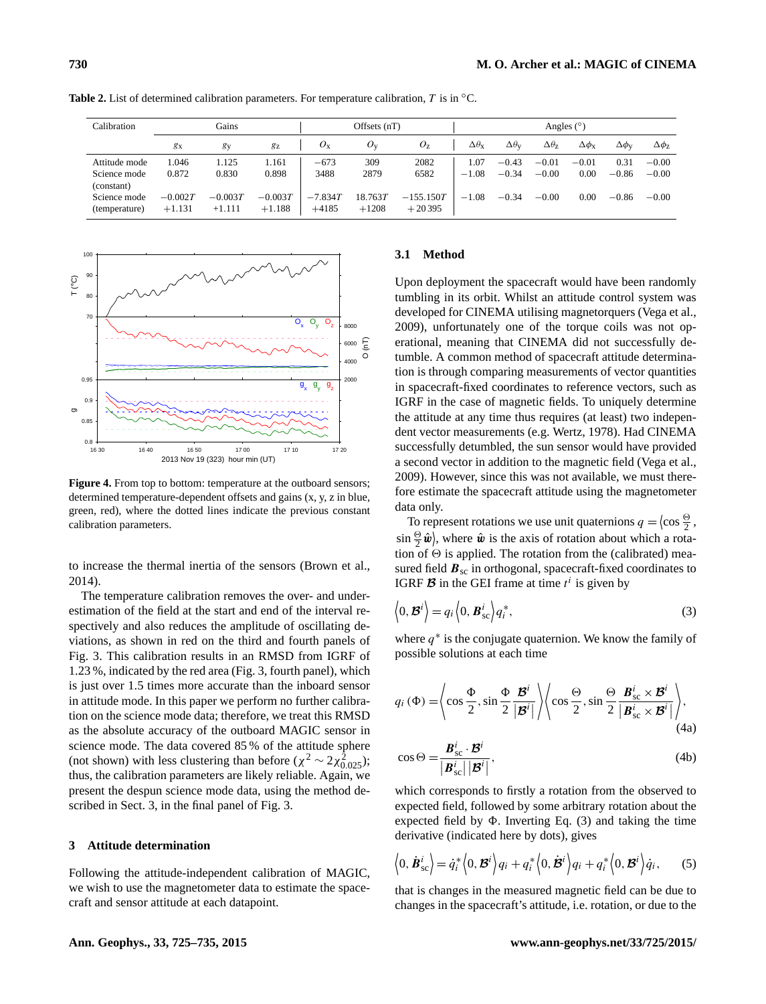| Calibration   | Gains          |                |           | Offsets $(nT)$ |         | Angles $(°)$ |                        |                        |                        |                       |                      |                |
|---------------|----------------|----------------|-----------|----------------|---------|--------------|------------------------|------------------------|------------------------|-----------------------|----------------------|----------------|
|               | g <sub>x</sub> | g <sub>y</sub> | gz        | $O_{\rm X}$    | $O_v$   | $O_{\rm Z}$  | $\Delta\theta_{\rm x}$ | $\Delta\theta_{\rm V}$ | $\Delta\theta_{\rm Z}$ | $\Delta \phi_{\rm X}$ | $\Delta\phi_{\rm V}$ | $\Delta\phi_z$ |
| Attitude mode | 1.046          | 1.125          | 1.161     | $-673$         | 309     | 2082         | 0.07                   | $-0.43$                | $-0.01$                | $-0.01$               | 0.31                 | $-0.00$        |
| Science mode  | 0.872          | 0.830          | 0.898     | 3488           | 2879    | 6582         | $-1.08$                | $-0.34$                | $-0.00$                | 0.00                  | $-0.86$              | $-0.00$        |
| (constant)    |                |                |           |                |         |              |                        |                        |                        |                       |                      |                |
| Science mode  | $-0.002T$      | $-0.003T$      | $-0.003T$ | $-7.834T$      | 18.763T | $-155.150T$  | $-1.08$                | $-0.34$                | $-0.00$                | 0.00                  | $-0.86$              | $-0.00$        |
| (temperature) | $+1.131$       | $+1.111$       | $+1.188$  | $+4185$        | $+1208$ | $+20395$     |                        |                        |                        |                       |                      |                |

<span id="page-5-1"></span>**Table 2.** List of determined calibration parameters. For temperature calibration, T is in ◦C.

<span id="page-5-2"></span>

Figure 4. From top to bottom: temperature at the outboard sensors; determined temperature-dependent offsets and gains (x, y, z in blue, green, red), where the dotted lines indicate the previous constant calibration parameters.

to increase the thermal inertia of the sensors [\(Brown et al.,](#page-10-3) [2014\)](#page-10-3).

The temperature calibration removes the over- and underestimation of the field at the start and end of the interval respectively and also reduces the amplitude of oscillating deviations, as shown in red on the third and fourth panels of Fig. [3.](#page-4-0) This calibration results in an RMSD from IGRF of 1.23 %, indicated by the red area (Fig. [3,](#page-4-0) fourth panel), which is just over 1.5 times more accurate than the inboard sensor in attitude mode. In this paper we perform no further calibration on the science mode data; therefore, we treat this RMSD as the absolute accuracy of the outboard MAGIC sensor in science mode. The data covered 85 % of the attitude sphere (not shown) with less clustering than before ( $\chi^2 \sim 2\chi_{0.025}^2$ ); thus, the calibration parameters are likely reliable. Again, we present the despun science mode data, using the method described in Sect. [3,](#page-5-0) in the final panel of Fig. [3.](#page-4-0)

## <span id="page-5-0"></span>**3 Attitude determination**

Following the attitude-independent calibration of MAGIC, we wish to use the magnetometer data to estimate the spacecraft and sensor attitude at each datapoint.

# **3.1 Method**

Upon deployment the spacecraft would have been randomly tumbling in its orbit. Whilst an attitude control system was developed for CINEMA utilising magnetorquers [\(Vega et al.,](#page-10-9) [2009\)](#page-10-9), unfortunately one of the torque coils was not operational, meaning that CINEMA did not successfully detumble. A common method of spacecraft attitude determination is through comparing measurements of vector quantities in spacecraft-fixed coordinates to reference vectors, such as IGRF in the case of magnetic fields. To uniquely determine the attitude at any time thus requires (at least) two independent vector measurements (e.g. [Wertz,](#page-10-20) [1978\)](#page-10-20). Had CINEMA successfully detumbled, the sun sensor would have provided a second vector in addition to the magnetic field [\(Vega et al.,](#page-10-9) [2009\)](#page-10-9). However, since this was not available, we must therefore estimate the spacecraft attitude using the magnetometer data only.

To represent rotations we use unit quaternions  $q = \langle \cos \frac{\Theta}{2}, \sin \Theta \rangle$  $\sin \frac{\Theta}{2} \hat{\boldsymbol{w}}$ , where  $\hat{\boldsymbol{w}}$  is the axis of rotation about which a rotation of  $\Theta$  is applied. The rotation from the (calibrated) measured field  $B_{\rm sc}$  in orthogonal, spacecraft-fixed coordinates to IGRF  $\mathcal{B}$  in the GEI frame at time  $t^i$  is given by

<span id="page-5-3"></span>
$$
\langle 0, \mathcal{B}^i \rangle = q_i \langle 0, \mathcal{B}_{\text{sc}}^i \rangle q_i^*,
$$
\n(3)

where  $q^*$  is the conjugate quaternion. We know the family of possible solutions at each time

$$
q_i \left( \Phi \right) = \left\langle \cos \frac{\Phi}{2}, \sin \frac{\Phi}{2} \frac{\mathcal{B}^i}{|\mathcal{B}^i|} \right\rangle \left\langle \cos \frac{\Theta}{2}, \sin \frac{\Theta}{2} \frac{\mathcal{B}_{\rm sc}^i \times \mathcal{B}^i}{|\mathcal{B}_{\rm sc}^i \times \mathcal{B}^i|} \right\rangle, \tag{4a}
$$

$$
\cos \Theta = \frac{\mathbf{B}_{\text{sc}}^i \cdot \mathbf{B}^i}{|\mathbf{B}_{\text{sc}}^i| |\mathbf{B}^i|},\tag{4b}
$$

which corresponds to firstly a rotation from the observed to expected field, followed by some arbitrary rotation about the expected field by  $\Phi$ . Inverting Eq. [\(3\)](#page-5-3) and taking the time derivative (indicated here by dots), gives

$$
\langle 0, \dot{\boldsymbol{B}}_{\rm sc}^i \rangle = \dot{q}_i^* \langle 0, \boldsymbol{B}^i \rangle q_i + q_i^* \langle 0, \dot{\boldsymbol{B}}^i \rangle q_i + q_i^* \langle 0, \boldsymbol{B}^i \rangle \dot{q}_i, \qquad (5)
$$

that is changes in the measured magnetic field can be due to changes in the spacecraft's attitude, i.e. rotation, or due to the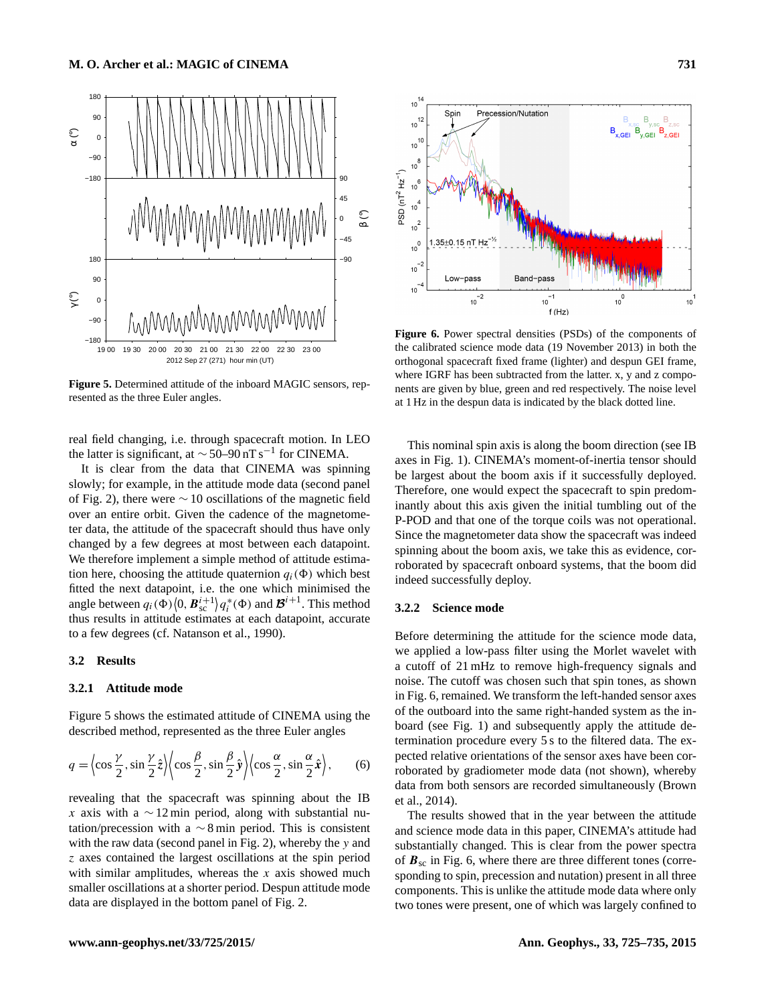<span id="page-6-0"></span>

**Figure 5.** Determined attitude of the inboard MAGIC sensors, represented as the three Euler angles.

real field changing, i.e. through spacecraft motion. In LEO the latter is significant, at  $\sim$  50–90 nT s<sup>-1</sup> for CINEMA.

It is clear from the data that CINEMA was spinning slowly; for example, in the attitude mode data (second panel of Fig. [2\)](#page-3-0), there were ∼ 10 oscillations of the magnetic field over an entire orbit. Given the cadence of the magnetometer data, the attitude of the spacecraft should thus have only changed by a few degrees at most between each datapoint. We therefore implement a simple method of attitude estimation here, choosing the attitude quaternion  $q_i(\Phi)$  which best fitted the next datapoint, i.e. the one which minimised the angle between  $q_i(\Phi)(0, \mathbf{B}_{\text{sc}}^{i+1})q_i^*(\Phi)$  and  $\mathbf{B}^{i+1}$ . This method thus results in attitude estimates at each datapoint, accurate to a few degrees (cf. [Natanson et al.,](#page-10-0) [1990\)](#page-10-0).

## **3.2 Results**

# **3.2.1 Attitude mode**

Figure [5](#page-6-0) shows the estimated attitude of CINEMA using the described method, represented as the three Euler angles

$$
q = \left\langle \cos \frac{\gamma}{2}, \sin \frac{\gamma}{2} \hat{z} \right\rangle \left\langle \cos \frac{\beta}{2}, \sin \frac{\beta}{2} \hat{y} \right\rangle \left\langle \cos \frac{\alpha}{2}, \sin \frac{\alpha}{2} \hat{x} \right\rangle, \tag{6}
$$

revealing that the spacecraft was spinning about the IB x axis with a  $\sim$  12 min period, along with substantial nutation/precession with a  $\sim$  8 min period. This is consistent with the raw data (second panel in Fig. [2\)](#page-3-0), whereby the y and z axes contained the largest oscillations at the spin period with similar amplitudes, whereas the  $x$  axis showed much smaller oscillations at a shorter period. Despun attitude mode data are displayed in the bottom panel of Fig. [2.](#page-3-0)

<span id="page-6-1"></span>

**Figure 6.** Power spectral densities (PSDs) of the components of the calibrated science mode data (19 November 2013) in both the orthogonal spacecraft fixed frame (lighter) and despun GEI frame, where IGRF has been subtracted from the latter. x, y and z components are given by blue, green and red respectively. The noise level at 1 Hz in the despun data is indicated by the black dotted line.

This nominal spin axis is along the boom direction (see IB axes in Fig. [1\)](#page-1-1). CINEMA's moment-of-inertia tensor should be largest about the boom axis if it successfully deployed. Therefore, one would expect the spacecraft to spin predominantly about this axis given the initial tumbling out of the P-POD and that one of the torque coils was not operational. Since the magnetometer data show the spacecraft was indeed spinning about the boom axis, we take this as evidence, corroborated by spacecraft onboard systems, that the boom did indeed successfully deploy.

## **3.2.2 Science mode**

Before determining the attitude for the science mode data, we applied a low-pass filter using the Morlet wavelet with a cutoff of 21 mHz to remove high-frequency signals and noise. The cutoff was chosen such that spin tones, as shown in Fig. [6,](#page-6-1) remained. We transform the left-handed sensor axes of the outboard into the same right-handed system as the inboard (see Fig. [1\)](#page-1-1) and subsequently apply the attitude determination procedure every 5 s to the filtered data. The expected relative orientations of the sensor axes have been corroborated by gradiometer mode data (not shown), whereby data from both sensors are recorded simultaneously [\(Brown](#page-10-3) [et al.,](#page-10-3) [2014\)](#page-10-3).

The results showed that in the year between the attitude and science mode data in this paper, CINEMA's attitude had substantially changed. This is clear from the power spectra of  $B_{\rm sc}$  in Fig. [6,](#page-6-1) where there are three different tones (corresponding to spin, precession and nutation) present in all three components. This is unlike the attitude mode data where only two tones were present, one of which was largely confined to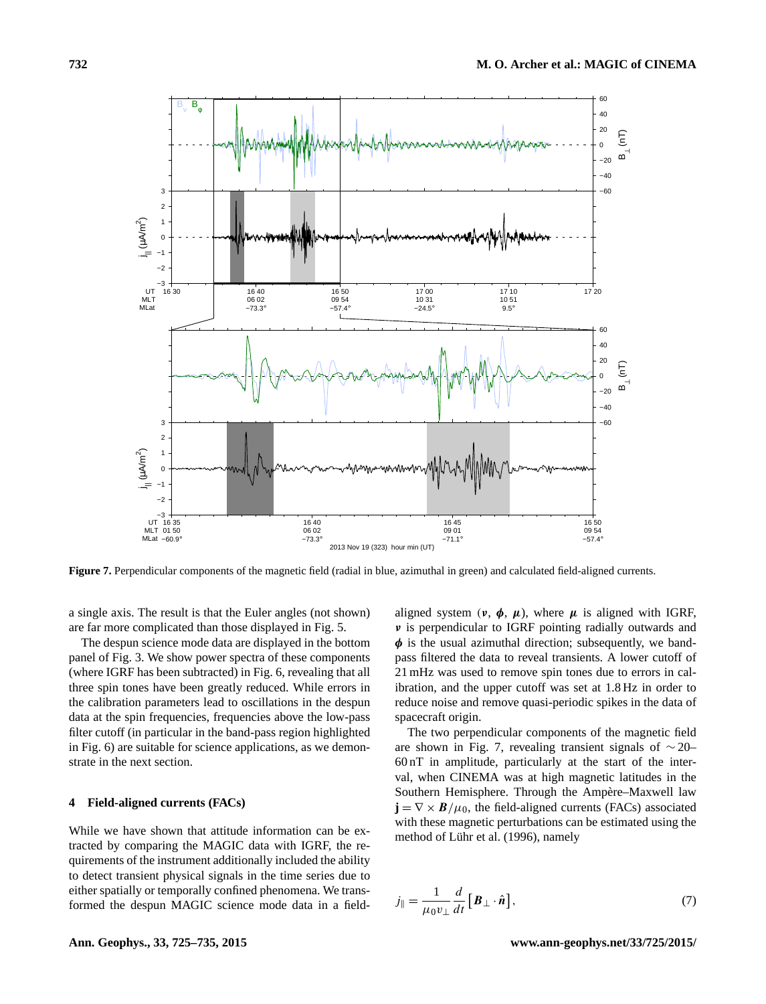<span id="page-7-1"></span>

**Figure 7.** Perpendicular components of the magnetic field (radial in blue, azimuthal in green) and calculated field-aligned currents.

a single axis. The result is that the Euler angles (not shown) are far more complicated than those displayed in Fig. [5.](#page-6-0)

The despun science mode data are displayed in the bottom panel of Fig. [3.](#page-4-0) We show power spectra of these components (where IGRF has been subtracted) in Fig. [6,](#page-6-1) revealing that all three spin tones have been greatly reduced. While errors in the calibration parameters lead to oscillations in the despun data at the spin frequencies, frequencies above the low-pass filter cutoff (in particular in the band-pass region highlighted in Fig. [6\)](#page-6-1) are suitable for science applications, as we demonstrate in the next section.

# <span id="page-7-0"></span>**4 Field-aligned currents (FACs)**

While we have shown that attitude information can be extracted by comparing the MAGIC data with IGRF, the requirements of the instrument additionally included the ability to detect transient physical signals in the time series due to either spatially or temporally confined phenomena. We transformed the despun MAGIC science mode data in a fieldaligned system  $(\nu, \phi, \mu)$ , where  $\mu$  is aligned with IGRF, ν is perpendicular to IGRF pointing radially outwards and  $\phi$  is the usual azimuthal direction; subsequently, we bandpass filtered the data to reveal transients. A lower cutoff of 21 mHz was used to remove spin tones due to errors in calibration, and the upper cutoff was set at 1.8 Hz in order to reduce noise and remove quasi-periodic spikes in the data of spacecraft origin.

The two perpendicular components of the magnetic field are shown in Fig. [7,](#page-7-1) revealing transient signals of ∼ 20– 60 nT in amplitude, particularly at the start of the interval, when CINEMA was at high magnetic latitudes in the Southern Hemisphere. Through the Ampère–Maxwell law  $\mathbf{j} = \nabla \times \mathbf{B}/\mu_0$ , the field-aligned currents (FACs) associated with these magnetic perturbations can be estimated using the method of [Lühr et al.](#page-10-21) [\(1996\)](#page-10-21), namely

$$
j_{\parallel} = \frac{1}{\mu_0 v_{\perp}} \frac{d}{dt} \left[ \boldsymbol{B}_{\perp} \cdot \hat{\boldsymbol{n}} \right],\tag{7}
$$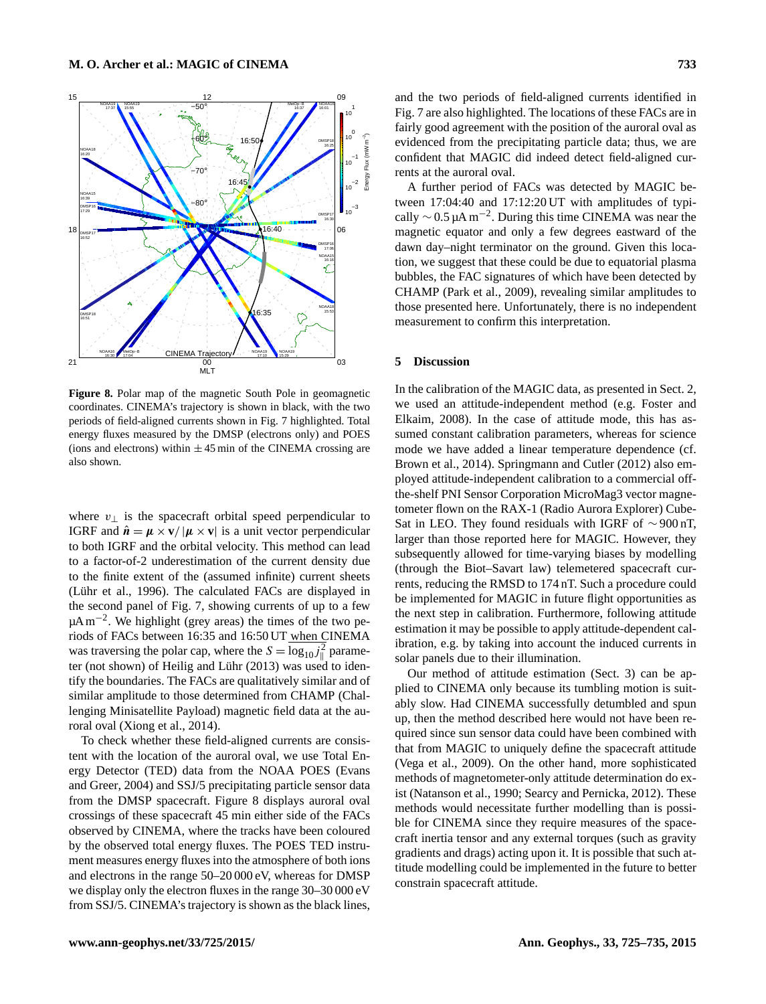<span id="page-8-0"></span>

**Figure 8.** Polar map of the magnetic South Pole in geomagnetic coordinates. CINEMA's trajectory is shown in black, with the two periods of field-aligned currents shown in Fig. [7](#page-7-1) highlighted. Total energy fluxes measured by the DMSP (electrons only) and POES (ions and electrons) within  $\pm 45$  min of the CINEMA crossing are also shown.

where  $v_{\perp}$  is the spacecraft orbital speed perpendicular to IGRF and  $\hat{\mathbf{n}} = \mathbf{\mu} \times \mathbf{v} / |\mathbf{\mu} \times \mathbf{v}|$  is a unit vector perpendicular to both IGRF and the orbital velocity. This method can lead to a factor-of-2 underestimation of the current density due to the finite extent of the (assumed infinite) current sheets [\(Lühr et al.,](#page-10-21) [1996\)](#page-10-21). The calculated FACs are displayed in the second panel of Fig. [7,](#page-7-1) showing currents of up to a few µA m<sup>-2</sup>. We highlight (grey areas) the times of the two periods of FACs between 16:35 and 16:50 UT when CINEMA was traversing the polar cap, where the  $S = \log_{10} j_{\parallel}^2$  parameter (not shown) of [Heilig and Lühr](#page-10-22) [\(2013\)](#page-10-22) was used to identify the boundaries. The FACs are qualitatively similar and of similar amplitude to those determined from CHAMP (Challenging Minisatellite Payload) magnetic field data at the auroral oval [\(Xiong et al.,](#page-10-23) [2014\)](#page-10-23).

To check whether these field-aligned currents are consistent with the location of the auroral oval, we use Total Energy Detector (TED) data from the NOAA POES [\(Evans](#page-10-24) [and Greer,](#page-10-24) [2004\)](#page-10-24) and SSJ/5 precipitating particle sensor data from the DMSP spacecraft. Figure [8](#page-8-0) displays auroral oval crossings of these spacecraft 45 min either side of the FACs observed by CINEMA, where the tracks have been coloured by the observed total energy fluxes. The POES TED instrument measures energy fluxes into the atmosphere of both ions and electrons in the range 50–20 000 eV, whereas for DMSP we display only the electron fluxes in the range 30–30 000 eV from SSJ/5. CINEMA's trajectory is shown as the black lines, and the two periods of field-aligned currents identified in Fig. [7](#page-7-1) are also highlighted. The locations of these FACs are in fairly good agreement with the position of the auroral oval as evidenced from the precipitating particle data; thus, we are confident that MAGIC did indeed detect field-aligned currents at the auroral oval.

A further period of FACs was detected by MAGIC between 17:04:40 and 17:12:20 UT with amplitudes of typically  $\sim$  0.5 µA m<sup>-2</sup>. During this time CINEMA was near the magnetic equator and only a few degrees eastward of the dawn day–night terminator on the ground. Given this location, we suggest that these could be due to equatorial plasma bubbles, the FAC signatures of which have been detected by CHAMP [\(Park et al.,](#page-10-25) [2009\)](#page-10-25), revealing similar amplitudes to those presented here. Unfortunately, there is no independent measurement to confirm this interpretation.

#### **5 Discussion**

In the calibration of the MAGIC data, as presented in Sect. [2,](#page-2-0) we used an attitude-independent method (e.g. [Foster and](#page-10-14) [Elkaim,](#page-10-14) [2008\)](#page-10-14). In the case of attitude mode, this has assumed constant calibration parameters, whereas for science mode we have added a linear temperature dependence (cf. [Brown et al.,](#page-10-3) [2014\)](#page-10-3). [Springmann and Cutler](#page-10-15) [\(2012\)](#page-10-15) also employed attitude-independent calibration to a commercial offthe-shelf PNI Sensor Corporation MicroMag3 vector magnetometer flown on the RAX-1 (Radio Aurora Explorer) Cube-Sat in LEO. They found residuals with IGRF of  $\sim$ 900 nT, larger than those reported here for MAGIC. However, they subsequently allowed for time-varying biases by modelling (through the Biot–Savart law) telemetered spacecraft currents, reducing the RMSD to 174 nT. Such a procedure could be implemented for MAGIC in future flight opportunities as the next step in calibration. Furthermore, following attitude estimation it may be possible to apply attitude-dependent calibration, e.g. by taking into account the induced currents in solar panels due to their illumination.

Our method of attitude estimation (Sect. [3\)](#page-5-0) can be applied to CINEMA only because its tumbling motion is suitably slow. Had CINEMA successfully detumbled and spun up, then the method described here would not have been required since sun sensor data could have been combined with that from MAGIC to uniquely define the spacecraft attitude [\(Vega et al.,](#page-10-9) [2009\)](#page-10-9). On the other hand, more sophisticated methods of magnetometer-only attitude determination do exist [\(Natanson et al.,](#page-10-0) [1990;](#page-10-0) [Searcy and Pernicka,](#page-10-26) [2012\)](#page-10-26). These methods would necessitate further modelling than is possible for CINEMA since they require measures of the spacecraft inertia tensor and any external torques (such as gravity gradients and drags) acting upon it. It is possible that such attitude modelling could be implemented in the future to better constrain spacecraft attitude.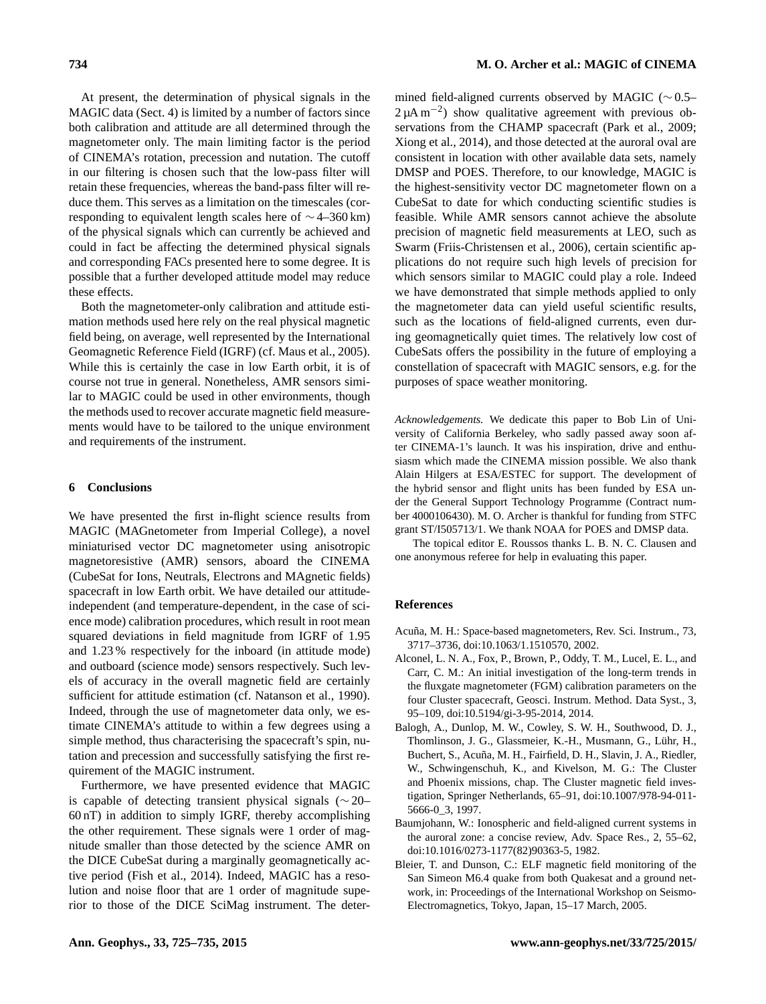At present, the determination of physical signals in the MAGIC data (Sect. [4\)](#page-7-0) is limited by a number of factors since both calibration and attitude are all determined through the magnetometer only. The main limiting factor is the period of CINEMA's rotation, precession and nutation. The cutoff in our filtering is chosen such that the low-pass filter will retain these frequencies, whereas the band-pass filter will reduce them. This serves as a limitation on the timescales (corresponding to equivalent length scales here of ∼ 4–360 km) of the physical signals which can currently be achieved and could in fact be affecting the determined physical signals and corresponding FACs presented here to some degree. It is possible that a further developed attitude model may reduce these effects.

Both the magnetometer-only calibration and attitude estimation methods used here rely on the real physical magnetic field being, on average, well represented by the International Geomagnetic Reference Field (IGRF) (cf. [Maus et al.,](#page-10-18) [2005\)](#page-10-18). While this is certainly the case in low Earth orbit, it is of course not true in general. Nonetheless, AMR sensors similar to MAGIC could be used in other environments, though the methods used to recover accurate magnetic field measurements would have to be tailored to the unique environment and requirements of the instrument.

#### **6 Conclusions**

We have presented the first in-flight science results from MAGIC (MAGnetometer from Imperial College), a novel miniaturised vector DC magnetometer using anisotropic magnetoresistive (AMR) sensors, aboard the CINEMA (CubeSat for Ions, Neutrals, Electrons and MAgnetic fields) spacecraft in low Earth orbit. We have detailed our attitudeindependent (and temperature-dependent, in the case of science mode) calibration procedures, which result in root mean squared deviations in field magnitude from IGRF of 1.95 and 1.23 % respectively for the inboard (in attitude mode) and outboard (science mode) sensors respectively. Such levels of accuracy in the overall magnetic field are certainly sufficient for attitude estimation (cf. [Natanson et al.,](#page-10-0) [1990\)](#page-10-0). Indeed, through the use of magnetometer data only, we estimate CINEMA's attitude to within a few degrees using a simple method, thus characterising the spacecraft's spin, nutation and precession and successfully satisfying the first requirement of the MAGIC instrument.

Furthermore, we have presented evidence that MAGIC is capable of detecting transient physical signals (∼ 20– 60 nT) in addition to simply IGRF, thereby accomplishing the other requirement. These signals were 1 order of magnitude smaller than those detected by the science AMR on the DICE CubeSat during a marginally geomagnetically active period [\(Fish et al.,](#page-10-8) [2014\)](#page-10-8). Indeed, MAGIC has a resolution and noise floor that are 1 order of magnitude superior to those of the DICE SciMag instrument. The determined field-aligned currents observed by MAGIC (∼ 0.5–  $2 \mu A m^{-2}$ ) show qualitative agreement with previous observations from the CHAMP spacecraft [\(Park et al.,](#page-10-25) [2009;](#page-10-25) [Xiong et al.,](#page-10-23) [2014\)](#page-10-23), and those detected at the auroral oval are consistent in location with other available data sets, namely DMSP and POES. Therefore, to our knowledge, MAGIC is the highest-sensitivity vector DC magnetometer flown on a CubeSat to date for which conducting scientific studies is feasible. While AMR sensors cannot achieve the absolute precision of magnetic field measurements at LEO, such as Swarm [\(Friis-Christensen et al.,](#page-10-1) [2006\)](#page-10-1), certain scientific applications do not require such high levels of precision for which sensors similar to MAGIC could play a role. Indeed we have demonstrated that simple methods applied to only the magnetometer data can yield useful scientific results, such as the locations of field-aligned currents, even during geomagnetically quiet times. The relatively low cost of CubeSats offers the possibility in the future of employing a constellation of spacecraft with MAGIC sensors, e.g. for the purposes of space weather monitoring.

*Acknowledgements.* We dedicate this paper to Bob Lin of University of California Berkeley, who sadly passed away soon after CINEMA-1's launch. It was his inspiration, drive and enthusiasm which made the CINEMA mission possible. We also thank Alain Hilgers at ESA/ESTEC for support. The development of the hybrid sensor and flight units has been funded by ESA under the General Support Technology Programme (Contract number 4000106430). M. O. Archer is thankful for funding from STFC grant ST/I505713/1. We thank NOAA for POES and DMSP data.

The topical editor E. Roussos thanks L. B. N. C. Clausen and one anonymous referee for help in evaluating this paper.

#### **References**

- <span id="page-9-0"></span>Acuña, M. H.: Space-based magnetometers, Rev. Sci. Instrum., 73, 3717–3736, doi[:10.1063/1.1510570,](http://dx.doi.org/10.1063/1.1510570) 2002.
- <span id="page-9-4"></span>Alconel, L. N. A., Fox, P., Brown, P., Oddy, T. M., Lucel, E. L., and Carr, C. M.: An initial investigation of the long-term trends in the fluxgate magnetometer (FGM) calibration parameters on the four Cluster spacecraft, Geosci. Instrum. Method. Data Syst., 3, 95–109, doi[:10.5194/gi-3-95-2014,](http://dx.doi.org/10.5194/gi-3-95-2014) 2014.
- <span id="page-9-2"></span>Balogh, A., Dunlop, M. W., Cowley, S. W. H., Southwood, D. J., Thomlinson, J. G., Glassmeier, K.-H., Musmann, G., Lühr, H., Buchert, S., Acuña, M. H., Fairfield, D. H., Slavin, J. A., Riedler, W., Schwingenschuh, K., and Kivelson, M. G.: The Cluster and Phoenix missions, chap. The Cluster magnetic field investigation, Springer Netherlands, 65–91, doi[:10.1007/978-94-011-](http://dx.doi.org/10.1007/978-94-011-5666-0_3) [5666-0\\_3,](http://dx.doi.org/10.1007/978-94-011-5666-0_3) 1997.
- <span id="page-9-1"></span>Baumjohann, W.: Ionospheric and field-aligned current systems in the auroral zone: a concise review, Adv. Space Res., 2, 55–62, doi[:10.1016/0273-1177\(82\)90363-5,](http://dx.doi.org/10.1016/0273-1177(82)90363-5) 1982.
- <span id="page-9-3"></span>Bleier, T. and Dunson, C.: ELF magnetic field monitoring of the San Simeon M6.4 quake from both Quakesat and a ground network, in: Proceedings of the International Workshop on Seismo-Electromagnetics, Tokyo, Japan, 15–17 March, 2005.